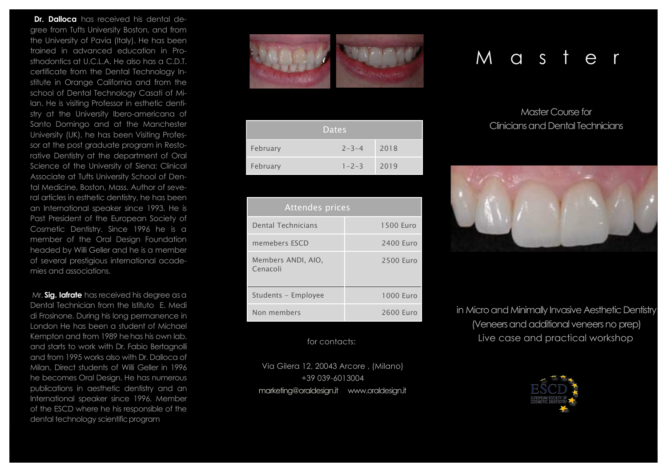**Dr. Dalloca** has received his dental degree from Tufts University Boston, and from the University of Pavia (Italy). He has been trained in advanced education in Prosthodontics at U.C.L.A. He also has a C.D.T. certificate from the Dental Technology Institute in Orange California and from the school of Dental Technology Casati of Milan. He is visiting Professor in esthetic dentistry at the University Ibero-americana of Santo Domingo and at the Manchester University (UK), he has been Visiting Professor at the post graduate program in Restorative Dentistry at the department of Oral Science of the University of Siena; Clinical Associate at Tufts University School of Dental Medicine, Boston, Mass. Author of several articles in esthetic dentistry, he has been an International speaker since 1993. He is Past President of the European Society of Cosmetic Dentistry. Since 1996 he is a member of the Oral Design Foundation headed by Willi Geller and he is a member of several prestigious international academies and associations.

Mr. **Sig. Iafrate** has received his degree asa Dental Technician from the Istituto E. Medi di Frosinone. During his long permanence in London He has been a student of Michael Kempton and from 1989 hehas his own lab. and starts to work with Dr. Fabio Bertagnolli and from 1995 works also with Dr. Dalloca of Milan, Direct students of Willi Geller in 1996 he becomes Oral Design. He has numerous publications in aesthetic dentistry and an International speaker since 1996. Member of the ESCD where he his responsible of the dental technology scientific program



|          | 'Dates      |      |
|----------|-------------|------|
| February | $2 - 3 - 4$ | 2018 |
| February | $1 - 2 - 3$ | 2019 |

| Attendes prices                |           |
|--------------------------------|-----------|
| Dental Technicians             | 1500 Euro |
| memebers ESCD                  | 2400 Euro |
| Members ANDI, AIO.<br>Cenacoli | 2500 Euro |
| Students - Employee            | 1000 Euro |
| Non members                    | 2600 Euro |

### for contacts:

Via Gilera 12, 20043 Arcore , (Milano) +39 039-6013004 marketing@oraldesign.it www.oraldesign.it

# M a s t e

## Master Course for Clinicians and Dental Technicians



in Micro and Minimally Invasive Aesthetic Dentistry (Veneers and additional veneers no prep) Live case and practical workshop